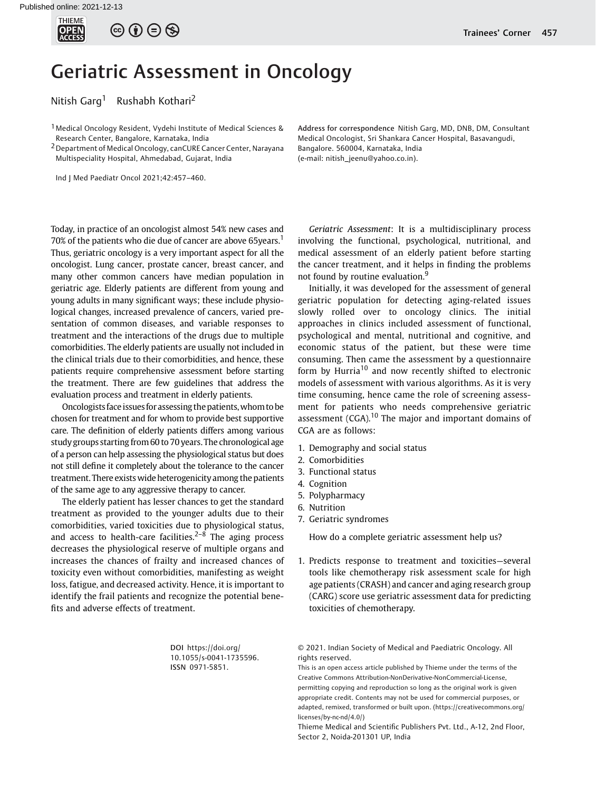

 $\circledcirc \circledcirc \circledcirc$ 

# Geriatric Assessment in Oncology

Nitish Garg<sup>1</sup> Rushabh Kothari<sup>2</sup>

<sup>1</sup> Medical Oncology Resident, Vydehi Institute of Medical Sciences & Research Center, Bangalore, Karnataka, India

<sup>2</sup> Department of Medical Oncology, canCURE Cancer Center, Narayana Multispeciality Hospital, Ahmedabad, Gujarat, India

Ind J Med Paediatr Oncol 2021;42:457–460.

Today, in practice of an oncologist almost 54% new cases and 70% of the patients who die due of cancer are above 65years.<sup>1</sup> Thus, geriatric oncology is a very important aspect for all the oncologist. Lung cancer, prostate cancer, breast cancer, and many other common cancers have median population in geriatric age. Elderly patients are different from young and young adults in many significant ways; these include physiological changes, increased prevalence of cancers, varied presentation of common diseases, and variable responses to treatment and the interactions of the drugs due to multiple comorbidities. The elderly patients are usually not included in the clinical trials due to their comorbidities, and hence, these patients require comprehensive assessment before starting the treatment. There are few guidelines that address the evaluation process and treatment in elderly patients.

Oncologists face issues for assessing the patients, whom to be chosen for treatment and for whom to provide best supportive care. The definition of elderly patients differs among various study groups starting from 60 to 70 years. The chronological age of a person can help assessing the physiological status but does not still define it completely about the tolerance to the cancer treatment. There exists wide heterogenicity among the patients of the same age to any aggressive therapy to cancer.

The elderly patient has lesser chances to get the standard treatment as provided to the younger adults due to their comorbidities, varied toxicities due to physiological status, and access to health-care facilities.<sup> $2-8$ </sup> The aging process decreases the physiological reserve of multiple organs and increases the chances of frailty and increased chances of toxicity even without comorbidities, manifesting as weight loss, fatigue, and decreased activity. Hence, it is important to identify the frail patients and recognize the potential benefits and adverse effects of treatment.

> DOI [https://doi.org/](https://doi.org/10.1055/s-0041-1735596) [10.1055/s-0041-1735596](https://doi.org/10.1055/s-0041-1735596). ISSN 0971-5851.

Address for correspondence Nitish Garg, MD, DNB, DM, Consultant Medical Oncologist, Sri Shankara Cancer Hospital, Basavangudi, Bangalore. 560004, Karnataka, India (e-mail: [nitish\\_jeenu@yahoo.co.in](mailto:nitish_jeenu@yahoo.co.in)).

Geriatric Assessment: It is a multidisciplinary process involving the functional, psychological, nutritional, and medical assessment of an elderly patient before starting the cancer treatment, and it helps in finding the problems not found by routine evaluation.<sup>9</sup>

Initially, it was developed for the assessment of general geriatric population for detecting aging-related issues slowly rolled over to oncology clinics. The initial approaches in clinics included assessment of functional, psychological and mental, nutritional and cognitive, and economic status of the patient, but these were time consuming. Then came the assessment by a questionnaire form by Hurria<sup>10</sup> and now recently shifted to electronic models of assessment with various algorithms. As it is very time consuming, hence came the role of screening assessment for patients who needs comprehensive geriatric assessment  $(CGA)$ .<sup>10</sup> The major and important domains of CGA are as follows:

- 1. Demography and social status
- 2. Comorbidities
- 3. Functional status
- 4. Cognition
- 5. Polypharmacy
- 6. Nutrition
- 7. Geriatric syndromes

How do a complete geriatric assessment help us?

1. Predicts response to treatment and toxicities—several tools like chemotherapy risk assessment scale for high age patients (CRASH) and cancer and aging research group (CARG) score use geriatric assessment data for predicting toxicities of chemotherapy.

© 2021. Indian Society of Medical and Paediatric Oncology. All rights reserved.

This is an open access article published by Thieme under the terms of the Creative Commons Attribution-NonDerivative-NonCommercial-License, permitting copying and reproduction so long as the original work is given appropriate credit. Contents may not be used for commercial purposes, or adapted, remixed, transformed or built upon. (https://creativecommons.org/ licenses/by-nc-nd/4.0/)

Thieme Medical and Scientific Publishers Pvt. Ltd., A-12, 2nd Floor, Sector 2, Noida-201301 UP, India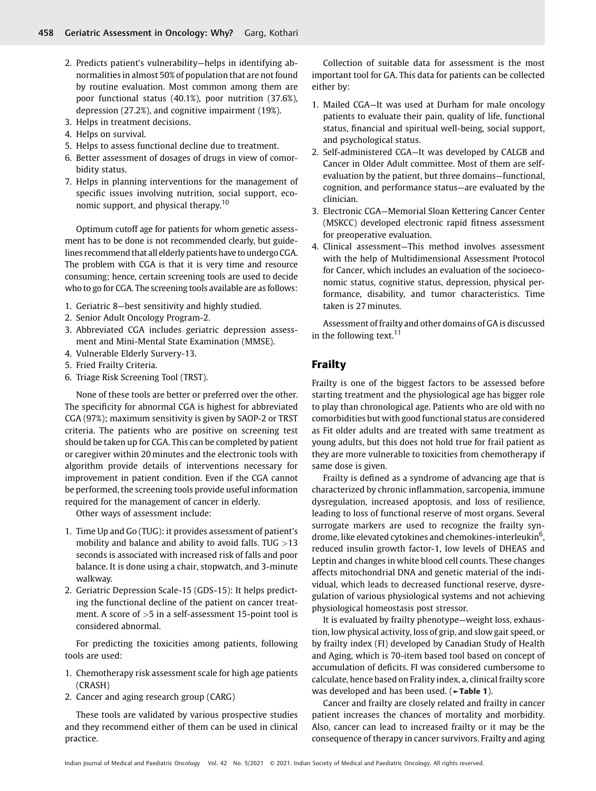- 2. Predicts patient's vulnerability—helps in identifying abnormalities in almost 50% of population that are not found by routine evaluation. Most common among them are poor functional status (40.1%), poor nutrition (37.6%), depression (27.2%), and cognitive impairment (19%).
- 3. Helps in treatment decisions.
- 4. Helps on survival.
- 5. Helps to assess functional decline due to treatment.
- 6. Better assessment of dosages of drugs in view of comorbidity status.
- 7. Helps in planning interventions for the management of specific issues involving nutrition, social support, economic support, and physical therapy.<sup>10</sup>

Optimum cutoff age for patients for whom genetic assessment has to be done is not recommended clearly, but guidelines recommend that all elderly patients have to undergo CGA. The problem with CGA is that it is very time and resource consuming; hence, certain screening tools are used to decide who to go for CGA. The screening tools available are as follows:

- 1. Geriatric 8—best sensitivity and highly studied.
- 2. Senior Adult Oncology Program-2.
- 3. Abbreviated CGA includes geriatric depression assessment and Mini-Mental State Examination (MMSE).
- 4. Vulnerable Elderly Survery-13.
- 5. Fried Frailty Criteria.
- 6. Triage Risk Screening Tool (TRST).

None of these tools are better or preferred over the other. The specificity for abnormal CGA is highest for abbreviated CGA (97%); maximum sensitivity is given by SAOP-2 or TRST criteria. The patients who are positive on screening test should be taken up for CGA. This can be completed by patient or caregiver within 20 minutes and the electronic tools with algorithm provide details of interventions necessary for improvement in patient condition. Even if the CGA cannot be performed, the screening tools provide useful information required for the management of cancer in elderly.

Other ways of assessment include:

- 1. Time Up and Go (TUG): it provides assessment of patient's mobility and balance and ability to avoid falls. TUG  $>13$ seconds is associated with increased risk of falls and poor balance. It is done using a chair, stopwatch, and 3-minute walkway.
- 2. Geriatric Depression Scale-15 (GDS-15): It helps predicting the functional decline of the patient on cancer treatment. A score of >5 in a self-assessment 15-point tool is considered abnormal.

For predicting the toxicities among patients, following tools are used:

- 1. Chemotherapy risk assessment scale for high age patients (CRASH)
- 2. Cancer and aging research group (CARG)

These tools are validated by various prospective studies and they recommend either of them can be used in clinical practice.

Collection of suitable data for assessment is the most important tool for GA. This data for patients can be collected either by:

- 1. Mailed CGA—It was used at Durham for male oncology patients to evaluate their pain, quality of life, functional status, financial and spiritual well-being, social support, and psychological status.
- 2. Self-administered CGA—It was developed by CALGB and Cancer in Older Adult committee. Most of them are selfevaluation by the patient, but three domains—functional, cognition, and performance status—are evaluated by the clinician.
- 3. Electronic CGA—Memorial Sloan Kettering Cancer Center (MSKCC) developed electronic rapid fitness assessment for preoperative evaluation.
- 4. Clinical assessment—This method involves assessment with the help of Multidimensional Assessment Protocol for Cancer, which includes an evaluation of the socioeconomic status, cognitive status, depression, physical performance, disability, and tumor characteristics. Time taken is 27 minutes.

Assessment of frailty and other domains of GA is discussed in the following text.<sup>11</sup>

## Frailty

Frailty is one of the biggest factors to be assessed before starting treatment and the physiological age has bigger role to play than chronological age. Patients who are old with no comorbidities but with good functional status are considered as Fit older adults and are treated with same treatment as young adults, but this does not hold true for frail patient as they are more vulnerable to toxicities from chemotherapy if same dose is given.

Frailty is defined as a syndrome of advancing age that is characterized by chronic inflammation, sarcopenia, immune dysregulation, increased apoptosis, and loss of resilience, leading to loss of functional reserve of most organs. Several surrogate markers are used to recognize the frailty syndrome, like elevated cytokines and chemokines-interleukin<sup>6</sup>, reduced insulin growth factor-1, low levels of DHEAS and Leptin and changes in white blood cell counts. These changes affects mitochondrial DNA and genetic material of the individual, which leads to decreased functional reserve, dysregulation of various physiological systems and not achieving physiological homeostasis post stressor.

It is evaluated by frailty phenotype—weight loss, exhaustion, low physical activity, loss of grip, and slow gait speed, or by frailty index (FI) developed by Canadian Study of Health and Aging, which is 70-item based tool based on concept of accumulation of deficits. FI was considered cumbersome to calculate, hence based on Frality index, a, clinical frailty score was developed and has been used. (►Table 1).

Cancer and frailty are closely related and frailty in cancer patient increases the chances of mortality and morbidity. Also, cancer can lead to increased frailty or it may be the consequence of therapy in cancer survivors. Frailty and aging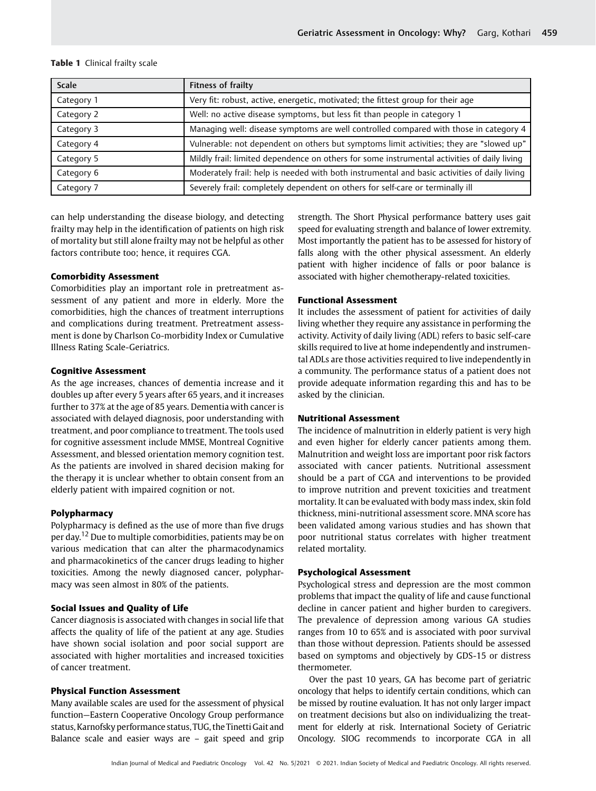| <b>Scale</b> | Fitness of frailty                                                                           |
|--------------|----------------------------------------------------------------------------------------------|
| Category 1   | Very fit: robust, active, energetic, motivated; the fittest group for their age              |
| Category 2   | Well: no active disease symptoms, but less fit than people in category 1                     |
| Category 3   | Managing well: disease symptoms are well controlled compared with those in category 4        |
| Category 4   | Vulnerable: not dependent on others but symptoms limit activities; they are "slowed up"      |
| Category 5   | Mildly frail: limited dependence on others for some instrumental activities of daily living  |
| Category 6   | Moderately frail: help is needed with both instrumental and basic activities of daily living |
| Category 7   | Severely frail: completely dependent on others for self-care or terminally ill               |

## Table 1 Clinical frailty scale

can help understanding the disease biology, and detecting frailty may help in the identification of patients on high risk of mortality but still alone frailty may not be helpful as other factors contribute too; hence, it requires CGA.

### Comorbidity Assessment

Comorbidities play an important role in pretreatment assessment of any patient and more in elderly. More the comorbidities, high the chances of treatment interruptions and complications during treatment. Pretreatment assessment is done by Charlson Co-morbidity Index or Cumulative Illness Rating Scale-Geriatrics.

#### Cognitive Assessment

As the age increases, chances of dementia increase and it doubles up after every 5 years after 65 years, and it increases further to 37% at the age of 85 years. Dementia with cancer is associated with delayed diagnosis, poor understanding with treatment, and poor compliance to treatment. The tools used for cognitive assessment include MMSE, Montreal Cognitive Assessment, and blessed orientation memory cognition test. As the patients are involved in shared decision making for the therapy it is unclear whether to obtain consent from an elderly patient with impaired cognition or not.

## Polypharmacy

Polypharmacy is defined as the use of more than five drugs per day.<sup>12</sup> Due to multiple comorbidities, patients may be on various medication that can alter the pharmacodynamics and pharmacokinetics of the cancer drugs leading to higher toxicities. Among the newly diagnosed cancer, polypharmacy was seen almost in 80% of the patients.

#### Social Issues and Quality of Life

Cancer diagnosis is associated with changes in social life that affects the quality of life of the patient at any age. Studies have shown social isolation and poor social support are associated with higher mortalities and increased toxicities of cancer treatment.

## Physical Function Assessment

Many available scales are used for the assessment of physical function—Eastern Cooperative Oncology Group performance status, Karnofsky performance status, TUG, the Tinetti Gait and Balance scale and easier ways are – gait speed and grip strength. The Short Physical performance battery uses gait speed for evaluating strength and balance of lower extremity. Most importantly the patient has to be assessed for history of falls along with the other physical assessment. An elderly patient with higher incidence of falls or poor balance is associated with higher chemotherapy-related toxicities.

#### Functional Assessment

It includes the assessment of patient for activities of daily living whether they require any assistance in performing the activity. Activity of daily living (ADL) refers to basic self-care skills required to live at home independently and instrumental ADLs are those activities required to live independently in a community. The performance status of a patient does not provide adequate information regarding this and has to be asked by the clinician.

## Nutritional Assessment

The incidence of malnutrition in elderly patient is very high and even higher for elderly cancer patients among them. Malnutrition and weight loss are important poor risk factors associated with cancer patients. Nutritional assessment should be a part of CGA and interventions to be provided to improve nutrition and prevent toxicities and treatment mortality. It can be evaluated with body mass index, skin fold thickness, mini-nutritional assessment score. MNA score has been validated among various studies and has shown that poor nutritional status correlates with higher treatment related mortality.

#### Psychological Assessment

Psychological stress and depression are the most common problems that impact the quality of life and cause functional decline in cancer patient and higher burden to caregivers. The prevalence of depression among various GA studies ranges from 10 to 65% and is associated with poor survival than those without depression. Patients should be assessed based on symptoms and objectively by GDS-15 or distress thermometer.

Over the past 10 years, GA has become part of geriatric oncology that helps to identify certain conditions, which can be missed by routine evaluation. It has not only larger impact on treatment decisions but also on individualizing the treatment for elderly at risk. International Society of Geriatric Oncology. SIOG recommends to incorporate CGA in all